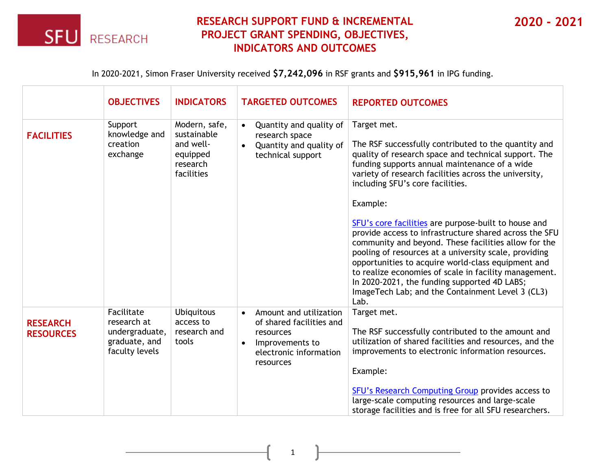

## **RESEARCH SUPPORT FUND & INCREMENTAL PROJECT GRANT SPENDING, OBJECTIVES, INDICATORS AND OUTCOMES**

**2020 - 2021**

In 2020-2021, Simon Fraser University received **\$7,242,096** in RSF grants and **\$915,961** in IPG funding.

|                                     | <b>OBJECTIVES</b>                                                              | <b>INDICATORS</b>                                                               | <b>TARGETED OUTCOMES</b>                                                                                                                            | <b>REPORTED OUTCOMES</b>                                                                                                                                                                                                                                                                                                                                                                                                                                   |
|-------------------------------------|--------------------------------------------------------------------------------|---------------------------------------------------------------------------------|-----------------------------------------------------------------------------------------------------------------------------------------------------|------------------------------------------------------------------------------------------------------------------------------------------------------------------------------------------------------------------------------------------------------------------------------------------------------------------------------------------------------------------------------------------------------------------------------------------------------------|
| <b>FACILITIES</b>                   | Support<br>knowledge and<br>creation<br>exchange                               | Modern, safe,<br>sustainable<br>and well-<br>equipped<br>research<br>facilities | Quantity and quality of<br>$\bullet$<br>research space<br>Quantity and quality of<br>$\bullet$<br>technical support                                 | Target met.<br>The RSF successfully contributed to the quantity and<br>quality of research space and technical support. The<br>funding supports annual maintenance of a wide<br>variety of research facilities across the university,<br>including SFU's core facilities.<br>Example:                                                                                                                                                                      |
|                                     |                                                                                |                                                                                 |                                                                                                                                                     | SFU's core facilities are purpose-built to house and<br>provide access to infrastructure shared across the SFU<br>community and beyond. These facilities allow for the<br>pooling of resources at a university scale, providing<br>opportunities to acquire world-class equipment and<br>to realize economies of scale in facility management.<br>In 2020-2021, the funding supported 4D LABS;<br>ImageTech Lab; and the Containment Level 3 (CL3)<br>Lab. |
| <b>RESEARCH</b><br><b>RESOURCES</b> | Facilitate<br>research at<br>undergraduate,<br>graduate, and<br>faculty levels | <b>Ubiquitous</b><br>access to<br>research and<br>tools                         | Amount and utilization<br>$\bullet$<br>of shared facilities and<br>resources<br>Improvements to<br>$\bullet$<br>electronic information<br>resources | Target met.<br>The RSF successfully contributed to the amount and<br>utilization of shared facilities and resources, and the<br>improvements to electronic information resources.<br>Example:<br>SFU's Research Computing Group provides access to<br>large-scale computing resources and large-scale<br>storage facilities and is free for all SFU researchers.                                                                                           |

1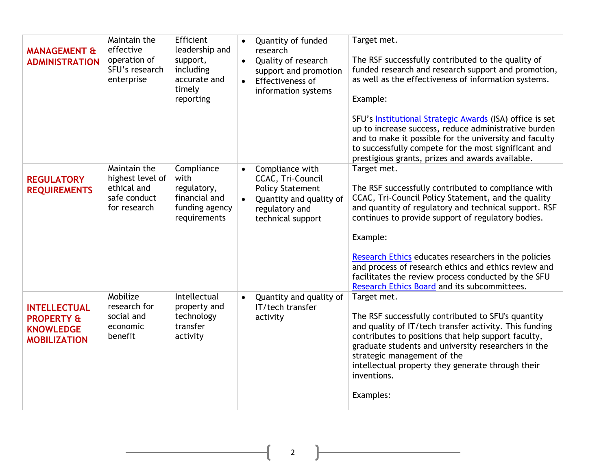| <b>MANAGEMENT &amp;</b><br><b>ADMINISTRATION</b>                                        | Maintain the<br>effective<br>operation of<br>SFU's research<br>enterprise       | Efficient<br>leadership and<br>support,<br>including<br>accurate and<br>timely<br>reporting | $\bullet$<br>$\bullet$<br>$\bullet$ | Quantity of funded<br>research<br>Quality of research<br>support and promotion<br>Effectiveness of<br>information systems         | Target met.<br>The RSF successfully contributed to the quality of<br>funded research and research support and promotion,<br>as well as the effectiveness of information systems.<br>Example:<br>SFU's <b>Institutional Strategic Awards</b> (ISA) office is set                                                                                                                                                                                                             |
|-----------------------------------------------------------------------------------------|---------------------------------------------------------------------------------|---------------------------------------------------------------------------------------------|-------------------------------------|-----------------------------------------------------------------------------------------------------------------------------------|-----------------------------------------------------------------------------------------------------------------------------------------------------------------------------------------------------------------------------------------------------------------------------------------------------------------------------------------------------------------------------------------------------------------------------------------------------------------------------|
|                                                                                         |                                                                                 |                                                                                             |                                     |                                                                                                                                   | up to increase success, reduce administrative burden<br>and to make it possible for the university and faculty<br>to successfully compete for the most significant and<br>prestigious grants, prizes and awards available.                                                                                                                                                                                                                                                  |
| <b>REGULATORY</b><br><b>REQUIREMENTS</b>                                                | Maintain the<br>highest level of<br>ethical and<br>safe conduct<br>for research | Compliance<br>with<br>regulatory,<br>financial and<br>funding agency<br>requirements        |                                     | Compliance with<br>CCAC, Tri-Council<br><b>Policy Statement</b><br>Quantity and quality of<br>regulatory and<br>technical support | Target met.<br>The RSF successfully contributed to compliance with<br>CCAC, Tri-Council Policy Statement, and the quality<br>and quantity of regulatory and technical support. RSF<br>continues to provide support of regulatory bodies.<br>Example:<br>Research Ethics educates researchers in the policies<br>and process of research ethics and ethics review and<br>facilitates the review process conducted by the SFU<br>Research Ethics Board and its subcommittees. |
| <b>INTELLECTUAL</b><br><b>PROPERTY &amp;</b><br><b>KNOWLEDGE</b><br><b>MOBILIZATION</b> | Mobilize<br>research for<br>social and<br>economic<br>benefit                   | Intellectual<br>property and<br>technology<br>transfer<br>activity                          | $\bullet$                           | Quantity and quality of<br>IT/tech transfer<br>activity                                                                           | Target met.<br>The RSF successfully contributed to SFU's quantity<br>and quality of IT/tech transfer activity. This funding<br>contributes to positions that help support faculty,<br>graduate students and university researchers in the<br>strategic management of the<br>intellectual property they generate through their<br>inventions.<br>Examples:                                                                                                                   |

2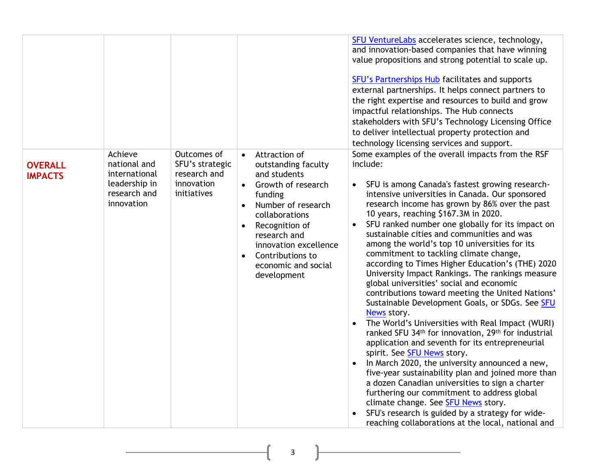|                                  |                                                                                         |                                                                             |                                                                                                                                                                                                                                                                                                        | SFU VentureLabs accelerates science, technology,<br>and innovation-based companies that have winning<br>value propositions and strong potential to scale up.<br>SFU's Partnerships Hub facilitates and supports<br>external partnerships. It helps connect partners to<br>the right expertise and resources to build and grow<br>impactful relationships. The Hub connects<br>stakeholders with SFU's Technology Licensing Office<br>to deliver intellectual property protection and<br>technology licensing services and support.                                                                                                                                                                                                                                                                                                                                                                                                                                                                                                                                                                                                                                                                                                                                                                                                   |
|----------------------------------|-----------------------------------------------------------------------------------------|-----------------------------------------------------------------------------|--------------------------------------------------------------------------------------------------------------------------------------------------------------------------------------------------------------------------------------------------------------------------------------------------------|--------------------------------------------------------------------------------------------------------------------------------------------------------------------------------------------------------------------------------------------------------------------------------------------------------------------------------------------------------------------------------------------------------------------------------------------------------------------------------------------------------------------------------------------------------------------------------------------------------------------------------------------------------------------------------------------------------------------------------------------------------------------------------------------------------------------------------------------------------------------------------------------------------------------------------------------------------------------------------------------------------------------------------------------------------------------------------------------------------------------------------------------------------------------------------------------------------------------------------------------------------------------------------------------------------------------------------------|
| <b>OVERALL</b><br><b>IMPACTS</b> | Achieve<br>national and<br>international<br>leadership in<br>research and<br>innovation | Outcomes of<br>SFU's strategic<br>research and<br>innovation<br>initiatives | Attraction of<br>$\bullet$<br>outstanding faculty<br>and students<br>Growth of research<br>funding<br>Number of research<br>$\bullet$<br>collaborations<br>Recognition of<br>$\bullet$<br>research and<br>innovation excellence<br>Contributions to<br>$\bullet$<br>economic and social<br>development | Some examples of the overall impacts from the RSF<br>include:<br>SFU is among Canada's fastest growing research-<br>$\bullet$<br>intensive universities in Canada. Our sponsored<br>research income has grown by 86% over the past<br>10 years, reaching \$167.3M in 2020.<br>SFU ranked number one globally for its impact on<br>$\bullet$<br>sustainable cities and communities and was<br>among the world's top 10 universities for its<br>commitment to tackling climate change,<br>according to Times Higher Education's (THE) 2020<br>University Impact Rankings. The rankings measure<br>global universities' social and economic<br>contributions toward meeting the United Nations'<br>Sustainable Development Goals, or SDGs. See SFU<br>News story.<br>The World's Universities with Real Impact (WURI)<br>ranked SFU 34th for innovation, 29th for industrial<br>application and seventh for its entrepreneurial<br>spirit. See <b>SFU News</b> story.<br>In March 2020, the university announced a new,<br>five-year sustainability plan and joined more than<br>a dozen Canadian universities to sign a charter<br>furthering our commitment to address global<br>climate change. See <b>SFU News</b> story.<br>SFU's research is guided by a strategy for wide-<br>reaching collaborations at the local, national and |

3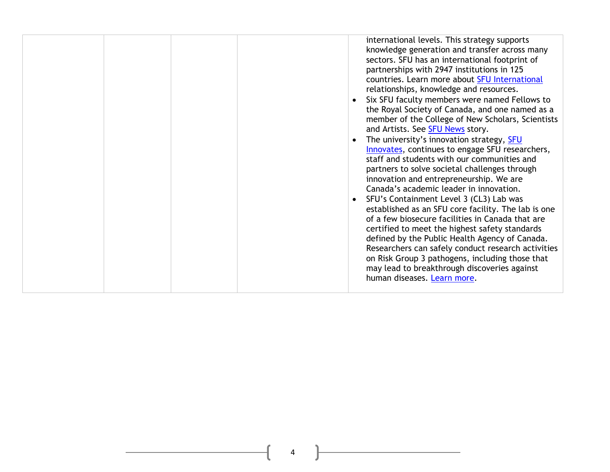| international levels. This strategy supports<br>sectors. SFU has an international footprint of<br>partnerships with 2947 institutions in 125<br>countries. Learn more about SFU International<br>relationships, knowledge and resources.<br>and Artists. See SFU News story.<br>The university's innovation strategy, SFU<br>staff and students with our communities and<br>partners to solve societal challenges through<br>innovation and entrepreneurship. We are<br>Canada's academic leader in innovation.<br>SFU's Containment Level 3 (CL3) Lab was | knowledge generation and transfer across many<br>Six SFU faculty members were named Fellows to<br>the Royal Society of Canada, and one named as a<br>member of the College of New Scholars, Scientists<br>Innovates, continues to engage SFU researchers,<br>established as an SFU core facility. The lab is one<br>of a few biosecure facilities in Canada that are |
|------------------------------------------------------------------------------------------------------------------------------------------------------------------------------------------------------------------------------------------------------------------------------------------------------------------------------------------------------------------------------------------------------------------------------------------------------------------------------------------------------------------------------------------------------------|----------------------------------------------------------------------------------------------------------------------------------------------------------------------------------------------------------------------------------------------------------------------------------------------------------------------------------------------------------------------|
| certified to meet the highest safety standards<br>may lead to breakthrough discoveries against<br>human diseases. Learn more.                                                                                                                                                                                                                                                                                                                                                                                                                              | defined by the Public Health Agency of Canada.<br>Researchers can safely conduct research activities<br>on Risk Group 3 pathogens, including those that                                                                                                                                                                                                              |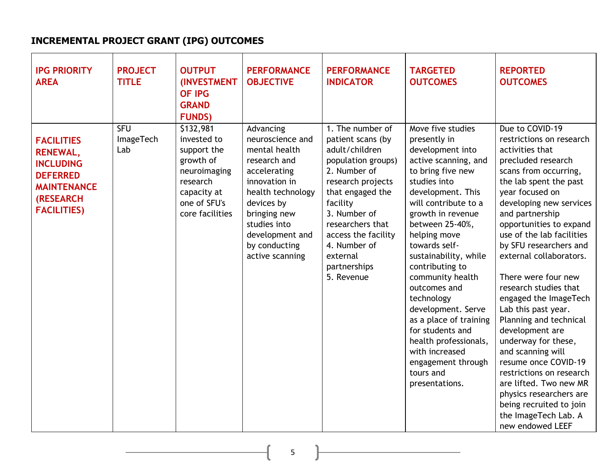## **INCREMENTAL PROJECT GRANT (IPG) OUTCOMES**

| <b>IPG PRIORITY</b><br><b>AREA</b>                                                                                                          | <b>PROJECT</b><br><b>TITLE</b>        | <b>OUTPUT</b><br><b>(INVESTMENT</b><br><b>OF IPG</b><br><b>GRAND</b><br><b>FUNDS)</b>                                              | <b>PERFORMANCE</b><br><b>OBJECTIVE</b>                                                                                                                                                                                    | <b>PERFORMANCE</b><br><b>INDICATOR</b>                                                                                                                                                                                                                                  | <b>TARGETED</b><br><b>OUTCOMES</b>                                                                                                                                                                                                                                                                                                                                                                                                                                                                         | <b>REPORTED</b><br><b>OUTCOMES</b>                                                                                                                                                                                                                                                                                                                                                                                                                                                                                                                                                                                                                                                             |
|---------------------------------------------------------------------------------------------------------------------------------------------|---------------------------------------|------------------------------------------------------------------------------------------------------------------------------------|---------------------------------------------------------------------------------------------------------------------------------------------------------------------------------------------------------------------------|-------------------------------------------------------------------------------------------------------------------------------------------------------------------------------------------------------------------------------------------------------------------------|------------------------------------------------------------------------------------------------------------------------------------------------------------------------------------------------------------------------------------------------------------------------------------------------------------------------------------------------------------------------------------------------------------------------------------------------------------------------------------------------------------|------------------------------------------------------------------------------------------------------------------------------------------------------------------------------------------------------------------------------------------------------------------------------------------------------------------------------------------------------------------------------------------------------------------------------------------------------------------------------------------------------------------------------------------------------------------------------------------------------------------------------------------------------------------------------------------------|
| <b>FACILITIES</b><br><b>RENEWAL,</b><br><b>INCLUDING</b><br><b>DEFERRED</b><br><b>MAINTENANCE</b><br><b>(RESEARCH</b><br><b>FACILITIES)</b> | <b>SFU</b><br><b>ImageTech</b><br>Lab | \$132,981<br>invested to<br>support the<br>growth of<br>neuroimaging<br>research<br>capacity at<br>one of SFU's<br>core facilities | Advancing<br>neuroscience and<br>mental health<br>research and<br>accelerating<br>innovation in<br>health technology<br>devices by<br>bringing new<br>studies into<br>development and<br>by conducting<br>active scanning | 1. The number of<br>patient scans (by<br>adult/children<br>population groups)<br>2. Number of<br>research projects<br>that engaged the<br>facility<br>3. Number of<br>researchers that<br>access the facility<br>4. Number of<br>external<br>partnerships<br>5. Revenue | Move five studies<br>presently in<br>development into<br>active scanning, and<br>to bring five new<br>studies into<br>development. This<br>will contribute to a<br>growth in revenue<br>between 25-40%,<br>helping move<br>towards self-<br>sustainability, while<br>contributing to<br>community health<br>outcomes and<br>technology<br>development. Serve<br>as a place of training<br>for students and<br>health professionals,<br>with increased<br>engagement through<br>tours and<br>presentations. | Due to COVID-19<br>restrictions on research<br>activities that<br>precluded research<br>scans from occurring,<br>the lab spent the past<br>year focused on<br>developing new services<br>and partnership<br>opportunities to expand<br>use of the lab facilities<br>by SFU researchers and<br>external collaborators.<br>There were four new<br>research studies that<br>engaged the ImageTech<br>Lab this past year.<br>Planning and technical<br>development are<br>underway for these,<br>and scanning will<br>resume once COVID-19<br>restrictions on research<br>are lifted. Two new MR<br>physics researchers are<br>being recruited to join<br>the ImageTech Lab. A<br>new endowed LEEF |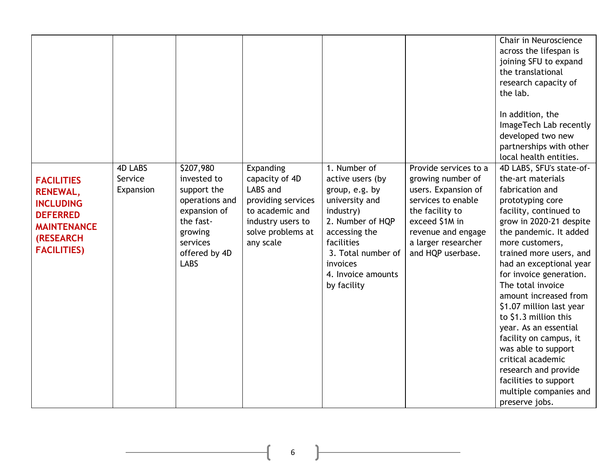|                                                                                                                                             |                                        |                                                                                                                                               |                                                                                                                                         |                                                                                                                                                                                                             |                                                                                                                                                                                                | Chair in Neuroscience<br>across the lifespan is<br>joining SFU to expand<br>the translational<br>research capacity of<br>the lab.<br>In addition, the<br>ImageTech Lab recently<br>developed two new<br>partnerships with other                                                                                                                                                                                                                                                                                                                                                                  |
|---------------------------------------------------------------------------------------------------------------------------------------------|----------------------------------------|-----------------------------------------------------------------------------------------------------------------------------------------------|-----------------------------------------------------------------------------------------------------------------------------------------|-------------------------------------------------------------------------------------------------------------------------------------------------------------------------------------------------------------|------------------------------------------------------------------------------------------------------------------------------------------------------------------------------------------------|--------------------------------------------------------------------------------------------------------------------------------------------------------------------------------------------------------------------------------------------------------------------------------------------------------------------------------------------------------------------------------------------------------------------------------------------------------------------------------------------------------------------------------------------------------------------------------------------------|
| <b>FACILITIES</b><br><b>RENEWAL,</b><br><b>INCLUDING</b><br><b>DEFERRED</b><br><b>MAINTENANCE</b><br><b>(RESEARCH</b><br><b>FACILITIES)</b> | <b>4D LABS</b><br>Service<br>Expansion | \$207,980<br>invested to<br>support the<br>operations and<br>expansion of<br>the fast-<br>growing<br>services<br>offered by 4D<br><b>LABS</b> | Expanding<br>capacity of 4D<br>LABS and<br>providing services<br>to academic and<br>industry users to<br>solve problems at<br>any scale | 1. Number of<br>active users (by<br>group, e.g. by<br>university and<br>industry)<br>2. Number of HQP<br>accessing the<br>facilities<br>3. Total number of<br>invoices<br>4. Invoice amounts<br>by facility | Provide services to a<br>growing number of<br>users. Expansion of<br>services to enable<br>the facility to<br>exceed \$1M in<br>revenue and engage<br>a larger researcher<br>and HQP userbase. | local health entities.<br>4D LABS, SFU's state-of-<br>the-art materials<br>fabrication and<br>prototyping core<br>facility, continued to<br>grow in 2020-21 despite<br>the pandemic. It added<br>more customers,<br>trained more users, and<br>had an exceptional year<br>for invoice generation.<br>The total invoice<br>amount increased from<br>\$1.07 million last year<br>to \$1.3 million this<br>year. As an essential<br>facility on campus, it<br>was able to support<br>critical academic<br>research and provide<br>facilities to support<br>multiple companies and<br>preserve jobs. |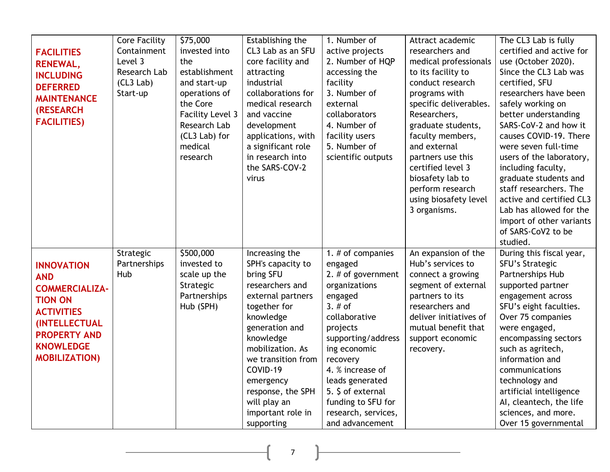| <b>FACILITIES</b><br><b>RENEWAL,</b><br><b>INCLUDING</b><br><b>DEFERRED</b><br><b>MAINTENANCE</b><br><b>(RESEARCH</b><br><b>FACILITIES)</b>                                         | <b>Core Facility</b><br>Containment<br>Level 3<br><b>Research Lab</b><br>(CL3 Lab)<br>Start-up | \$75,000<br>invested into<br>the<br>establishment<br>and start-up<br>operations of<br>the Core<br><b>Facility Level 3</b><br>Research Lab<br>(CL3 Lab) for<br>medical<br>research | Establishing the<br>CL3 Lab as an SFU<br>core facility and<br>attracting<br>industrial<br>collaborations for<br>medical research<br>and vaccine<br>development<br>applications, with<br>a significant role<br>in research into<br>the SARS-COV-2<br>virus                                       | 1. Number of<br>active projects<br>2. Number of HQP<br>accessing the<br>facility<br>3. Number of<br>external<br>collaborators<br>4. Number of<br>facility users<br>5. Number of<br>scientific outputs                                                                                                    | Attract academic<br>researchers and<br>medical professionals<br>to its facility to<br>conduct research<br>programs with<br>specific deliverables.<br>Researchers,<br>graduate students,<br>faculty members,<br>and external<br>partners use this<br>certified level 3<br>biosafety lab to<br>perform research<br>using biosafety level<br>3 organisms. | The CL3 Lab is fully<br>certified and active for<br>use (October 2020).<br>Since the CL3 Lab was<br>certified, SFU<br>researchers have been<br>safely working on<br>better understanding<br>SARS-CoV-2 and how it<br>causes COVID-19. There<br>were seven full-time<br>users of the laboratory,<br>including faculty,<br>graduate students and<br>staff researchers. The<br>active and certified CL3<br>Lab has allowed for the<br>import of other variants<br>of SARS-CoV2 to be<br>studied. |
|-------------------------------------------------------------------------------------------------------------------------------------------------------------------------------------|------------------------------------------------------------------------------------------------|-----------------------------------------------------------------------------------------------------------------------------------------------------------------------------------|-------------------------------------------------------------------------------------------------------------------------------------------------------------------------------------------------------------------------------------------------------------------------------------------------|----------------------------------------------------------------------------------------------------------------------------------------------------------------------------------------------------------------------------------------------------------------------------------------------------------|--------------------------------------------------------------------------------------------------------------------------------------------------------------------------------------------------------------------------------------------------------------------------------------------------------------------------------------------------------|-----------------------------------------------------------------------------------------------------------------------------------------------------------------------------------------------------------------------------------------------------------------------------------------------------------------------------------------------------------------------------------------------------------------------------------------------------------------------------------------------|
| <b>INNOVATION</b><br><b>AND</b><br><b>COMMERCIALIZA-</b><br><b>TION ON</b><br><b>ACTIVITIES</b><br>(INTELLECTUAL<br><b>PROPERTY AND</b><br><b>KNOWLEDGE</b><br><b>MOBILIZATION)</b> | Strategic<br>Partnerships<br>Hub                                                               | \$500,000<br>invested to<br>scale up the<br>Strategic<br>Partnerships<br>Hub (SPH)                                                                                                | Increasing the<br>SPH's capacity to<br>bring SFU<br>researchers and<br>external partners<br>together for<br>knowledge<br>generation and<br>knowledge<br>mobilization. As<br>we transition from<br>COVID-19<br>emergency<br>response, the SPH<br>will play an<br>important role in<br>supporting | 1. # of companies<br>engaged<br>2. $#$ of government<br>organizations<br>engaged<br>$3.$ # of<br>collaborative<br>projects<br>supporting/address<br>ing economic<br>recovery<br>4. % increase of<br>leads generated<br>5. \$ of external<br>funding to SFU for<br>research, services,<br>and advancement | An expansion of the<br>Hub's services to<br>connect a growing<br>segment of external<br>partners to its<br>researchers and<br>deliver initiatives of<br>mutual benefit that<br>support economic<br>recovery.                                                                                                                                           | During this fiscal year,<br>SFU's Strategic<br>Partnerships Hub<br>supported partner<br>engagement across<br>SFU's eight faculties.<br>Over 75 companies<br>were engaged,<br>encompassing sectors<br>such as agritech,<br>information and<br>communications<br>technology and<br>artificial intelligence<br>AI, cleantech, the life<br>sciences, and more.<br>Over 15 governmental                                                                                                            |